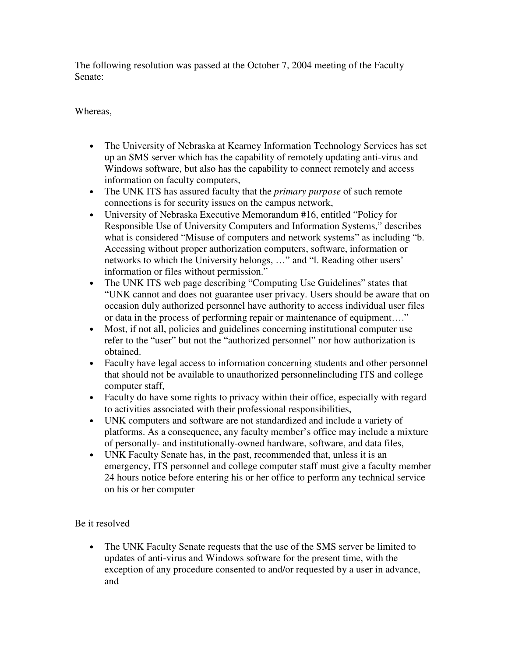The following resolution was passed at the October 7, 2004 meeting of the Faculty Senate:

Whereas,

- The University of Nebraska at Kearney Information Technology Services has set up an SMS server which has the capability of remotely updating anti-virus and Windows software, but also has the capability to connect remotely and access information on faculty computers,
- The UNK ITS has assured faculty that the *primary purpose* of such remote connections is for security issues on the campus network,
- University of Nebraska Executive Memorandum #16, entitled "Policy for Responsible Use of University Computers and Information Systems," describes what is considered "Misuse of computers and network systems" as including "b. Accessing without proper authorization computers, software, information or networks to which the University belongs, …" and "l. Reading other users' information or files without permission."
- The UNK ITS web page describing "Computing Use Guidelines" states that "UNK cannot and does not guarantee user privacy. Users should be aware that on occasion duly authorized personnel have authority to access individual user files or data in the process of performing repair or maintenance of equipment…."
- Most, if not all, policies and guidelines concerning institutional computer use refer to the "user" but not the "authorized personnel" nor how authorization is obtained.
- Faculty have legal access to information concerning students and other personnel that should not be available to unauthorized personnelincluding ITS and college computer staff,
- Faculty do have some rights to privacy within their office, especially with regard to activities associated with their professional responsibilities,
- UNK computers and software are not standardized and include a variety of platforms. As a consequence, any faculty member's office may include a mixture of personally- and institutionally-owned hardware, software, and data files,
- UNK Faculty Senate has, in the past, recommended that, unless it is an emergency, ITS personnel and college computer staff must give a faculty member 24 hours notice before entering his or her office to perform any technical service on his or her computer

Be it resolved

• The UNK Faculty Senate requests that the use of the SMS server be limited to updates of anti-virus and Windows software for the present time, with the exception of any procedure consented to and/or requested by a user in advance, and